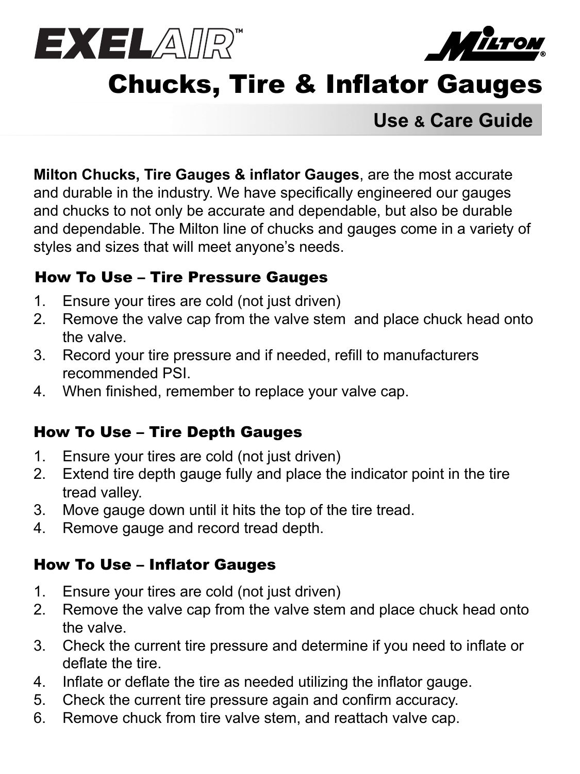



## Chucks, Tire & Inflator Gauges

**Use & Care Guide**

**Milton Chucks, Tire Gauges & inflator Gauges**, are the most accurate and durable in the industry. We have specifically engineered our gauges and chucks to not only be accurate and dependable, but also be durable and dependable. The Milton line of chucks and gauges come in a variety of styles and sizes that will meet anyone's needs.

#### How To Use – Tire Pressure Gauges

- 1. Ensure your tires are cold (not just driven)
- 2. Remove the valve cap from the valve stem and place chuck head onto the valve.
- 3. Record your tire pressure and if needed, refill to manufacturers recommended PSI.
- 4. When finished, remember to replace your valve cap.

#### How To Use – Tire Depth Gauges

- 1. Ensure your tires are cold (not just driven)
- 2. Extend tire depth gauge fully and place the indicator point in the tire tread valley.
- 3. Move gauge down until it hits the top of the tire tread.
- 4. Remove gauge and record tread depth.

#### How To Use – Inflator Gauges

- 1. Ensure your tires are cold (not just driven)
- 2. Remove the valve cap from the valve stem and place chuck head onto the valve.
- 3. Check the current tire pressure and determine if you need to inflate or deflate the tire.
- 4. Inflate or deflate the tire as needed utilizing the inflator gauge.
- 5. Check the current tire pressure again and confirm accuracy.
- 6. Remove chuck from tire valve stem, and reattach valve cap.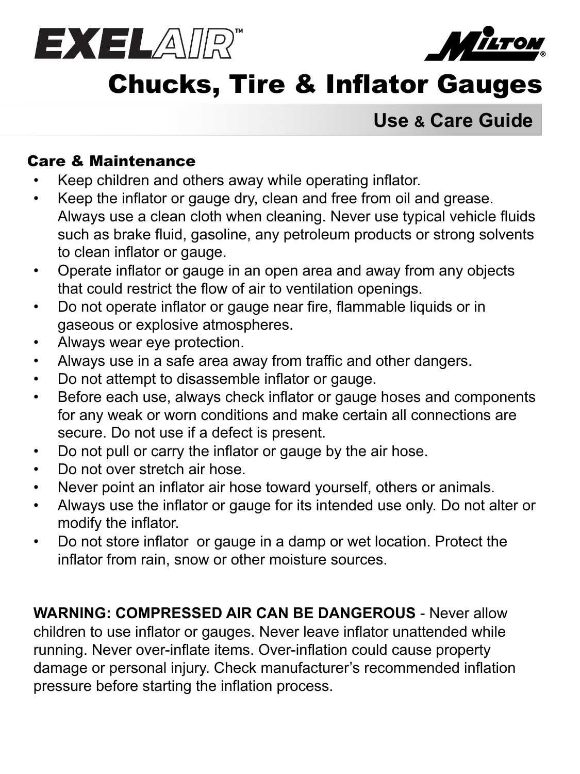



## Chucks, Tire & Inflator Gauges

### **Use & Care Guide**

#### Care & Maintenance

- Keep children and others away while operating inflator.
- Keep the inflator or gauge dry, clean and free from oil and grease. Always use a clean cloth when cleaning. Never use typical vehicle fluids such as brake fluid, gasoline, any petroleum products or strong solvents to clean inflator or gauge.
- Operate inflator or gauge in an open area and away from any objects that could restrict the flow of air to ventilation openings.
- Do not operate inflator or gauge near fire, flammable liquids or in gaseous or explosive atmospheres.
- Always wear eye protection.
- Always use in a safe area away from traffic and other dangers.
- Do not attempt to disassemble inflator or gauge.
- Before each use, always check inflator or gauge hoses and components for any weak or worn conditions and make certain all connections are secure. Do not use if a defect is present.
- Do not pull or carry the inflator or gauge by the air hose.
- Do not over stretch air hose.
- Never point an inflator air hose toward yourself, others or animals.
- Always use the inflator or gauge for its intended use only. Do not alter or modify the inflator.
- Do not store inflator or gauge in a damp or wet location. Protect the inflator from rain, snow or other moisture sources.

**WARNING: COMPRESSED AIR CAN BE DANGEROUS** - Never allow children to use inflator or gauges. Never leave inflator unattended while running. Never over-inflate items. Over-inflation could cause property damage or personal injury. Check manufacturer's recommended inflation pressure before starting the inflation process.